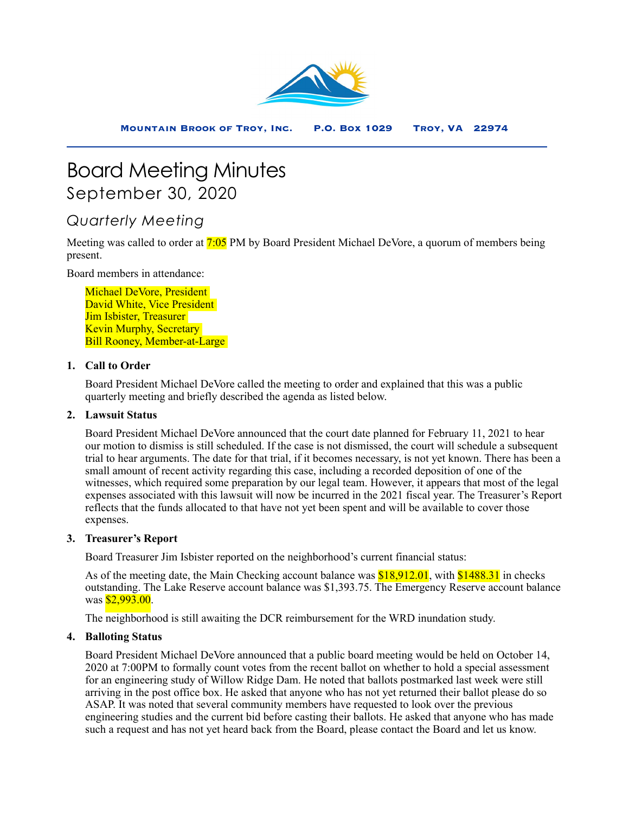

# Board Meeting Minutes September 30, 2020

# *Quarterly Meeting*

Meeting was called to order at **7:05** PM by Board President Michael DeVore, a quorum of members being present.

Board members in attendance:

Michael DeVore, President David White, Vice President Jim Isbister, Treasurer Kevin Murphy, Secretary Bill Rooney, Member-at-Large

# **1. Call to Order**

Board President Michael DeVore called the meeting to order and explained that this was a public quarterly meeting and briefly described the agenda as listed below.

# **2. Lawsuit Status**

Board President Michael DeVore announced that the court date planned for February 11, 2021 to hear our motion to dismiss is still scheduled. If the case is not dismissed, the court will schedule a subsequent trial to hear arguments. The date for that trial, if it becomes necessary, is not yet known. There has been a small amount of recent activity regarding this case, including a recorded deposition of one of the witnesses, which required some preparation by our legal team. However, it appears that most of the legal expenses associated with this lawsuit will now be incurred in the 2021 fiscal year. The Treasurer's Report reflects that the funds allocated to that have not yet been spent and will be available to cover those expenses.

# **3. Treasurer's Report**

Board Treasurer Jim Isbister reported on the neighborhood's current financial status:

As of the meeting date, the Main Checking account balance was **\$18,912.01**, with **\$1488.31** in checks outstanding. The Lake Reserve account balance was \$1,393.75. The Emergency Reserve account balance was **\$2,993.00**.

The neighborhood is still awaiting the DCR reimbursement for the WRD inundation study.

# **4. Balloting Status**

Board President Michael DeVore announced that a public board meeting would be held on October 14, 2020 at 7:00PM to formally count votes from the recent ballot on whether to hold a special assessment for an engineering study of Willow Ridge Dam. He noted that ballots postmarked last week were still arriving in the post office box. He asked that anyone who has not yet returned their ballot please do so ASAP. It was noted that several community members have requested to look over the previous engineering studies and the current bid before casting their ballots. He asked that anyone who has made such a request and has not yet heard back from the Board, please contact the Board and let us know.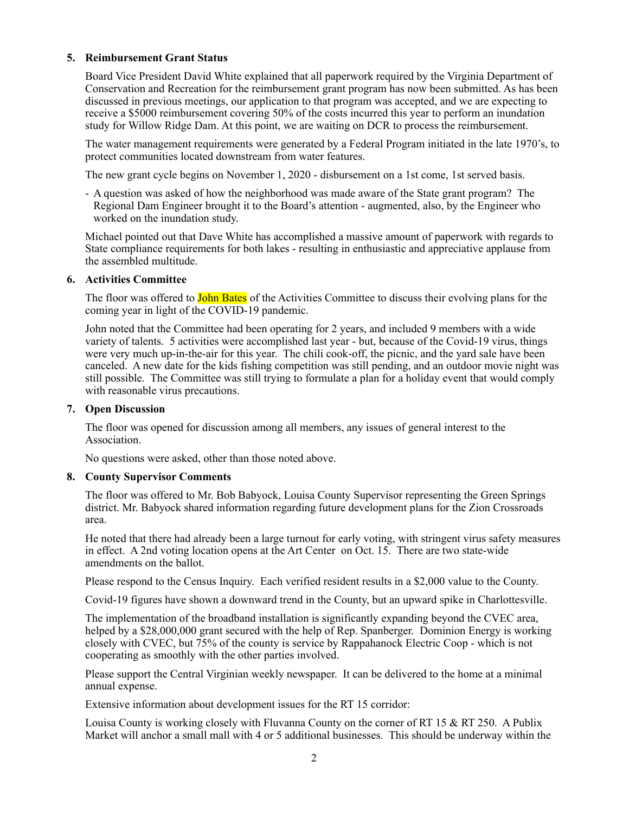#### **5. Reimbursement Grant Status**

Board Vice President David White explained that all paperwork required by the Virginia Department of Conservation and Recreation for the reimbursement grant program has now been submitted. As has been discussed in previous meetings, our application to that program was accepted, and we are expecting to receive a \$5000 reimbursement covering 50% of the costs incurred this year to perform an inundation study for Willow Ridge Dam. At this point, we are waiting on DCR to process the reimbursement.

The water management requirements were generated by a Federal Program initiated in the late 1970's, to protect communities located downstream from water features.

The new grant cycle begins on November 1, 2020 - disbursement on a 1st come, 1st served basis.

- A question was asked of how the neighborhood was made aware of the State grant program? The Regional Dam Engineer brought it to the Board's attention - augmented, also, by the Engineer who worked on the inundation study.

Michael pointed out that Dave White has accomplished a massive amount of paperwork with regards to State compliance requirements for both lakes - resulting in enthusiastic and appreciative applause from the assembled multitude.

#### **6. Activities Committee**

The floor was offered to **John Bates** of the Activities Committee to discuss their evolving plans for the coming year in light of the COVID-19 pandemic.

John noted that the Committee had been operating for 2 years, and included 9 members with a wide variety of talents. 5 activities were accomplished last year - but, because of the Covid-19 virus, things were very much up-in-the-air for this year. The chili cook-off, the picnic, and the yard sale have been canceled. A new date for the kids fishing competition was still pending, and an outdoor movie night was still possible. The Committee was still trying to formulate a plan for a holiday event that would comply with reasonable virus precautions.

### **7. Open Discussion**

The floor was opened for discussion among all members, any issues of general interest to the Association.

No questions were asked, other than those noted above.

# **8. County Supervisor Comments**

The floor was offered to Mr. Bob Babyock, Louisa County Supervisor representing the Green Springs district. Mr. Babyock shared information regarding future development plans for the Zion Crossroads area.

He noted that there had already been a large turnout for early voting, with stringent virus safety measures in effect. A 2nd voting location opens at the Art Center on Oct. 15. There are two state-wide amendments on the ballot.

Please respond to the Census Inquiry. Each verified resident results in a \$2,000 value to the County.

Covid-19 figures have shown a downward trend in the County, but an upward spike in Charlottesville.

The implementation of the broadband installation is significantly expanding beyond the CVEC area, helped by a \$28,000,000 grant secured with the help of Rep. Spanberger. Dominion Energy is working closely with CVEC, but 75% of the county is service by Rappahanock Electric Coop - which is not cooperating as smoothly with the other parties involved.

Please support the Central Virginian weekly newspaper. It can be delivered to the home at a minimal annual expense.

Extensive information about development issues for the RT 15 corridor:

Louisa County is working closely with Fluvanna County on the corner of RT 15 & RT 250. A Publix Market will anchor a small mall with 4 or 5 additional businesses. This should be underway within the